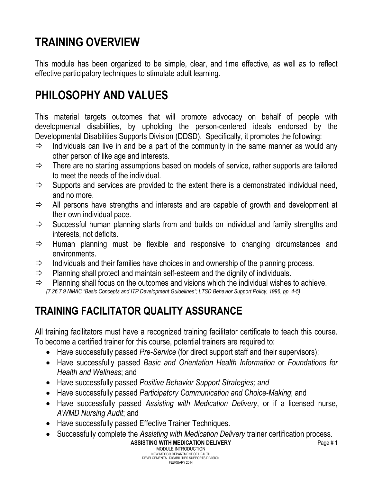# **TRAINING OVERVIEW**

This module has been organized to be simple, clear, and time effective, as well as to reflect effective participatory techniques to stimulate adult learning.

# **PHILOSOPHY AND VALUES**

This material targets outcomes that will promote advocacy on behalf of people with developmental disabilities, by upholding the person-centered ideals endorsed by the Developmental Disabilities Supports Division (DDSD). Specifically, it promotes the following:

- $\Rightarrow$  Individuals can live in and be a part of the community in the same manner as would any other person of like age and interests.
- $\Rightarrow$  There are no starting assumptions based on models of service, rather supports are tailored to meet the needs of the individual.
- $\Rightarrow$  Supports and services are provided to the extent there is a demonstrated individual need, and no more.
- $\Rightarrow$  All persons have strengths and interests and are capable of growth and development at their own individual pace.
- $\Rightarrow$  Successful human planning starts from and builds on individual and family strengths and interests, not deficits.
- $\Rightarrow$  Human planning must be flexible and responsive to changing circumstances and environments.
- $\Rightarrow$  Individuals and their families have choices in and ownership of the planning process.
- $\Rightarrow$  Planning shall protect and maintain self-esteem and the dignity of individuals.
- $\Rightarrow$  Planning shall focus on the outcomes and visions which the individual wishes to achieve. *(7.26.7.9 NMAC "Basic Concepts and ITP Development Guidelines"; LTSD Behavior Support Policy, 1996, pp. 4-5)*

# **TRAINING FACILITATOR QUALITY ASSURANCE**

All training facilitators must have a recognized training facilitator certificate to teach this course. To become a certified trainer for this course, potential trainers are required to:

- Have successfully passed *Pre-Service* (for direct support staff and their supervisors);
- Have successfully passed *Basic and Orientation Health Information* or *Foundations for Health and Wellness*; and
- Have successfully passed *Positive Behavior Support Strategies; and*
- Have successfully passed *Participatory Communication and Choice-Making*; and
- Have successfully passed *Assisting with Medication Delivery*, or if a licensed nurse, *AWMD Nursing Audit*; and
- Have successfully passed Effective Trainer Techniques.
- Successfully complete the *Assisting with Medication Delivery* trainer certification process.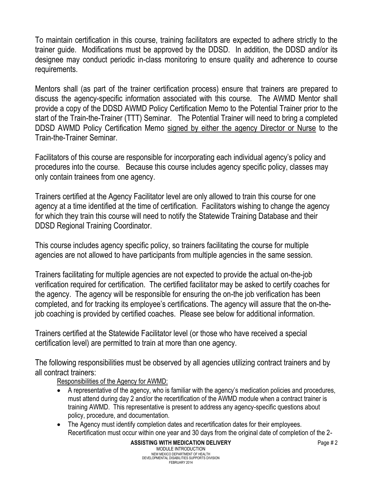To maintain certification in this course, training facilitators are expected to adhere strictly to the trainer guide. Modifications must be approved by the DDSD. In addition, the DDSD and/or its designee may conduct periodic in-class monitoring to ensure quality and adherence to course requirements.

Mentors shall (as part of the trainer certification process) ensure that trainers are prepared to discuss the agency-specific information associated with this course. The AWMD Mentor shall provide a copy of the DDSD AWMD Policy Certification Memo to the Potential Trainer prior to the start of the Train-the-Trainer (TTT) Seminar. The Potential Trainer will need to bring a completed DDSD AWMD Policy Certification Memo signed by either the agency Director or Nurse to the Train-the-Trainer Seminar.

Facilitators of this course are responsible for incorporating each individual agency's policy and procedures into the course. Because this course includes agency specific policy, classes may only contain trainees from one agency.

Trainers certified at the Agency Facilitator level are only allowed to train this course for one agency at a time identified at the time of certification. Facilitators wishing to change the agency for which they train this course will need to notify the Statewide Training Database and their DDSD Regional Training Coordinator.

This course includes agency specific policy, so trainers facilitating the course for multiple agencies are not allowed to have participants from multiple agencies in the same session.

Trainers facilitating for multiple agencies are not expected to provide the actual on-the-job verification required for certification. The certified facilitator may be asked to certify coaches for the agency. The agency will be responsible for ensuring the on-the job verification has been completed, and for tracking its employee's certifications. The agency will assure that the on-thejob coaching is provided by certified coaches. Please see below for additional information.

Trainers certified at the Statewide Facilitator level (or those who have received a special certification level) are permitted to train at more than one agency.

The following responsibilities must be observed by all agencies utilizing contract trainers and by all contract trainers:

Responsibilities of the Agency for AWMD:

- A representative of the agency, who is familiar with the agency's medication policies and procedures, must attend during day 2 and/or the recertification of the AWMD module when a contract trainer is training AWMD. This representative is present to address any agency-specific questions about policy, procedure, and documentation.
- The Agency must identify completion dates and recertification dates for their employees. Recertification must occur within one year and 30 days from the original date of completion of the 2-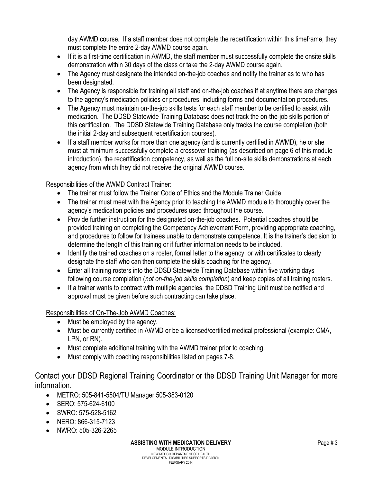day AWMD course. If a staff member does not complete the recertification within this timeframe, they must complete the entire 2-day AWMD course again.

- If it is a first-time certification in AWMD, the staff member must successfully complete the onsite skills demonstration within 30 days of the class or take the 2-day AWMD course again.
- The Agency must designate the intended on-the-job coaches and notify the trainer as to who has been designated.
- The Agency is responsible for training all staff and on-the-job coaches if at anytime there are changes to the agency's medication policies or procedures, including forms and documentation procedures.
- The Agency must maintain on-the-job skills tests for each staff member to be certified to assist with medication. The DDSD Statewide Training Database does not track the on-the-job skills portion of this certification. The DDSD Statewide Training Database only tracks the course completion (both the initial 2-day and subsequent recertification courses).
- If a staff member works for more than one agency (and is currently certified in AWMD), he or she must at minimum successfully complete a crossover training (as described on page 6 of this module introduction), the recertification competency, as well as the full on-site skills demonstrations at each agency from which they did not receive the original AWMD course.

#### Responsibilities of the AWMD Contract Trainer:

- The trainer must follow the Trainer Code of Ethics and the Module Trainer Guide
- The trainer must meet with the Agency prior to teaching the AWMD module to thoroughly cover the agency's medication policies and procedures used throughout the course.
- Provide further instruction for the designated on-the-job coaches. Potential coaches should be provided training on completing the Competency Achievement Form, providing appropriate coaching, and procedures to follow for trainees unable to demonstrate competence. It is the trainer's decision to determine the length of this training or if further information needs to be included.
- Identify the trained coaches on a roster, formal letter to the agency, or with certificates to clearly designate the staff who can then complete the skills coaching for the agency.
- Enter all training rosters into the DDSD Statewide Training Database within five working days following course completion (*not on-the-job skills completion*) and keep copies of all training rosters.
- If a trainer wants to contract with multiple agencies, the DDSD Training Unit must be notified and approval must be given before such contracting can take place.

#### Responsibilities of On-The-Job AWMD Coaches:

- Must be employed by the agency.
- Must be currently certified in AWMD or be a licensed/certified medical professional (example: CMA, LPN, or RN).
- Must complete additional training with the AWMD trainer prior to coaching.
- Must comply with coaching responsibilities listed on pages 7-8.

#### Contact your DDSD Regional Training Coordinator or the DDSD Training Unit Manager for more information.

- METRO: 505-841-5504/TU Manager 505-383-0120
- SERO: 575-624-6100
- SWRO: 575-528-5162
- NERO: 866-315-7123
- NWRO: 505-326-2265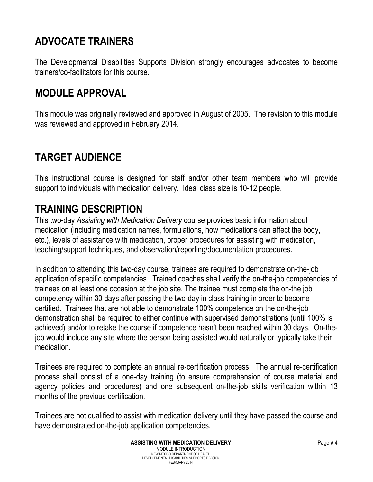# **ADVOCATE TRAINERS**

The Developmental Disabilities Supports Division strongly encourages advocates to become trainers/co-facilitators for this course.

#### **MODULE APPROVAL**

This module was originally reviewed and approved in August of 2005. The revision to this module was reviewed and approved in February 2014.

### **TARGET AUDIENCE**

This instructional course is designed for staff and/or other team members who will provide support to individuals with medication delivery. Ideal class size is 10-12 people.

#### **TRAINING DESCRIPTION**

This two-day *Assisting with Medication Delivery* course provides basic information about medication (including medication names, formulations, how medications can affect the body, etc.), levels of assistance with medication, proper procedures for assisting with medication, teaching/support techniques, and observation/reporting/documentation procedures.

In addition to attending this two-day course, trainees are required to demonstrate on-the-job application of specific competencies. Trained coaches shall verify the on-the-job competencies of trainees on at least one occasion at the job site. The trainee must complete the on-the job competency within 30 days after passing the two-day in class training in order to become certified. Trainees that are not able to demonstrate 100% competence on the on-the-job demonstration shall be required to either continue with supervised demonstrations (until 100% is achieved) and/or to retake the course if competence hasn't been reached within 30 days. On-thejob would include any site where the person being assisted would naturally or typically take their medication.

Trainees are required to complete an annual re-certification process. The annual re-certification process shall consist of a one-day training (to ensure comprehension of course material and agency policies and procedures) and one subsequent on-the-job skills verification within 13 months of the previous certification.

Trainees are not qualified to assist with medication delivery until they have passed the course and have demonstrated on-the-job application competencies.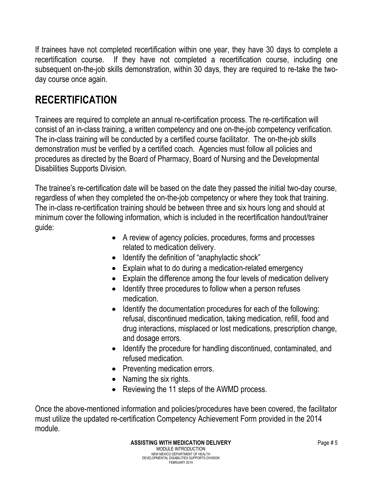If trainees have not completed recertification within one year, they have 30 days to complete a recertification course. If they have not completed a recertification course, including one subsequent on-the-job skills demonstration, within 30 days, they are required to re-take the twoday course once again.

### **RECERTIFICATION**

Trainees are required to complete an annual re-certification process. The re-certification will consist of an in-class training, a written competency and one on-the-job competency verification. The in-class training will be conducted by a certified course facilitator. The on-the-job skills demonstration must be verified by a certified coach. Agencies must follow all policies and procedures as directed by the Board of Pharmacy, Board of Nursing and the Developmental Disabilities Supports Division.

The trainee's re-certification date will be based on the date they passed the initial two-day course, regardless of when they completed the on-the-job competency or where they took that training. The in-class re-certification training should be between three and six hours long and should at minimum cover the following information, which is included in the recertification handout/trainer guide:

- A review of agency policies, procedures, forms and processes related to medication delivery.
- Identify the definition of "anaphylactic shock"
- Explain what to do during a medication-related emergency
- Explain the difference among the four levels of medication delivery
- Identify three procedures to follow when a person refuses medication.
- Identify the documentation procedures for each of the following: refusal, discontinued medication, taking medication, refill, food and drug interactions, misplaced or lost medications, prescription change, and dosage errors.
- Identify the procedure for handling discontinued, contaminated, and refused medication.
- Preventing medication errors.
- Naming the six rights.
- Reviewing the 11 steps of the AWMD process.

Once the above-mentioned information and policies/procedures have been covered, the facilitator must utilize the updated re-certification Competency Achievement Form provided in the 2014 module.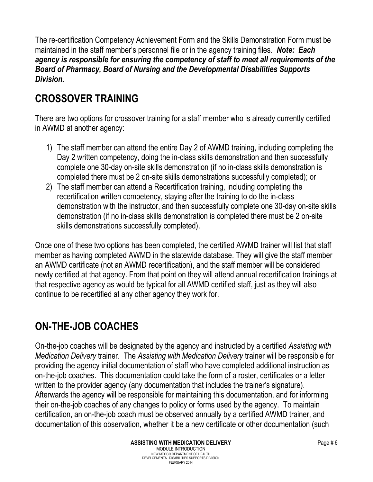The re-certification Competency Achievement Form and the Skills Demonstration Form must be maintained in the staff member's personnel file or in the agency training files. *Note: Each agency is responsible for ensuring the competency of staff to meet all requirements of the Board of Pharmacy, Board of Nursing and the Developmental Disabilities Supports Division.*

# **CROSSOVER TRAINING**

There are two options for crossover training for a staff member who is already currently certified in AWMD at another agency:

- 1) The staff member can attend the entire Day 2 of AWMD training, including completing the Day 2 written competency, doing the in-class skills demonstration and then successfully complete one 30-day on-site skills demonstration (if no in-class skills demonstration is completed there must be 2 on-site skills demonstrations successfully completed); or
- 2) The staff member can attend a Recertification training, including completing the recertification written competency, staying after the training to do the in-class demonstration with the instructor, and then successfully complete one 30-day on-site skills demonstration (if no in-class skills demonstration is completed there must be 2 on-site skills demonstrations successfully completed).

Once one of these two options has been completed, the certified AWMD trainer will list that staff member as having completed AWMD in the statewide database. They will give the staff member an AWMD certificate (not an AWMD recertification), and the staff member will be considered newly certified at that agency. From that point on they will attend annual recertification trainings at that respective agency as would be typical for all AWMD certified staff, just as they will also continue to be recertified at any other agency they work for.

### **ON-THE-JOB COACHES**

On-the-job coaches will be designated by the agency and instructed by a certified *Assisting with Medication Delivery* trainer. The *Assisting with Medication Delivery* trainer will be responsible for providing the agency initial documentation of staff who have completed additional instruction as on-the-job coaches. This documentation could take the form of a roster, certificates or a letter written to the provider agency (any documentation that includes the trainer's signature). Afterwards the agency will be responsible for maintaining this documentation, and for informing their on-the-job coaches of any changes to policy or forms used by the agency. To maintain certification, an on-the-job coach must be observed annually by a certified AWMD trainer, and documentation of this observation, whether it be a new certificate or other documentation (such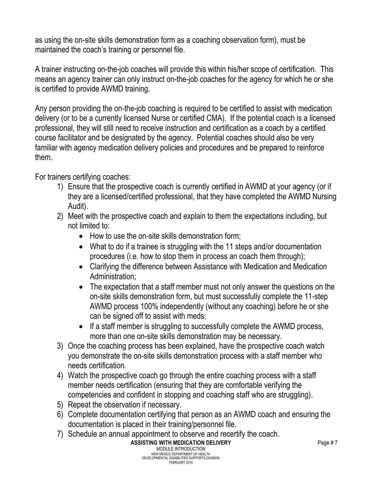as using the on-site skills demonstration form as a coaching observation form), must be maintained the coach's training or personnel file.

A trainer instructing on-the-job coaches will provide this within his/her scope of certification. This means an agency trainer can only instruct on-the-job coaches for the agency for which he or she is certified to provide AWMD training.

Any person providing the on-the-job coaching is required to be certified to assist with medication delivery (or to be a currently licensed Nurse or certified CMA). If the potential coach is a licensed professional, they will still need to receive instruction and certification as a coach by a certified course facilitator and be designated by the agency. Potential coaches should also be very familiar with agency medication delivery policies and procedures and be prepared to reinforce them.

For trainers certifying coaches:

- 1) Ensure that the prospective coach is currently certified in AWMD at your agency (or if they are a licensed/certified professional, that they have completed the AWMD Nursing Audit).
- 2) Meet with the prospective coach and explain to them the expectations including, but not limited to:
	- How to use the on-site skills demonstration form;
	- What to do if a trainee is struggling with the 11 steps and/or documentation procedures (i.e. how to stop them in process an coach them through);
	- Clarifying the difference between Assistance with Medication and Medication Administration;
	- The expectation that a staff member must not only answer the questions on the on-site skills demonstration form, but must successfully complete the 11-step AWMD process 100% independently (without any coaching) before he or she can be signed off to assist with meds;
	- If a staff member is struggling to successfully complete the AWMD process, more than one on-site skills demonstration may be necessary.
- 3) Once the coaching process has been explained, have the prospective coach watch you demonstrate the on-site skills demonstration process with a staff member who needs certification.
- 4) Watch the prospective coach go through the entire coaching process with a staff member needs certification (ensuring that they are comfortable verifying the competencies and confident in stopping and coaching staff who are struggling).
- 5) Repeat the observation if necessary.
- 6) Complete documentation certifying that person as an AWMD coach and ensuring the documentation is placed in their training/personnel file.
- 7) Schedule an annual appointment to observe and recertify the coach.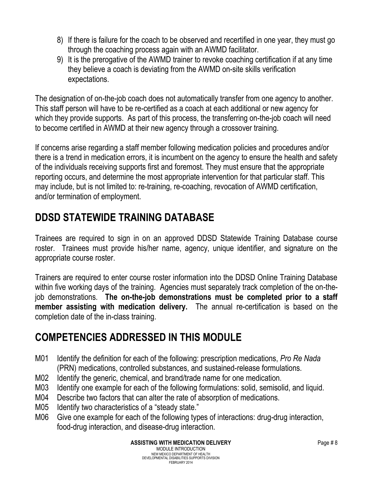- 8) If there is failure for the coach to be observed and recertified in one year, they must go through the coaching process again with an AWMD facilitator.
- 9) It is the prerogative of the AWMD trainer to revoke coaching certification if at any time they believe a coach is deviating from the AWMD on-site skills verification expectations.

The designation of on-the-job coach does not automatically transfer from one agency to another. This staff person will have to be re-certified as a coach at each additional or new agency for which they provide supports. As part of this process, the transferring on-the-job coach will need to become certified in AWMD at their new agency through a crossover training.

If concerns arise regarding a staff member following medication policies and procedures and/or there is a trend in medication errors, it is incumbent on the agency to ensure the health and safety of the individuals receiving supports first and foremost. They must ensure that the appropriate reporting occurs, and determine the most appropriate intervention for that particular staff. This may include, but is not limited to: re-training, re-coaching, revocation of AWMD certification, and/or termination of employment.

### **DDSD STATEWIDE TRAINING DATABASE**

Trainees are required to sign in on an approved DDSD Statewide Training Database course roster. Trainees must provide his/her name, agency, unique identifier, and signature on the appropriate course roster.

Trainers are required to enter course roster information into the DDSD Online Training Database within five working days of the training. Agencies must separately track completion of the on-thejob demonstrations. **The on-the-job demonstrations must be completed prior to a staff member assisting with medication delivery.** The annual re-certification is based on the completion date of the in-class training.

### **COMPETENCIES ADDRESSED IN THIS MODULE**

- M01 Identify the definition for each of the following: prescription medications, *Pro Re Nada* (PRN) medications, controlled substances, and sustained-release formulations.
- M02 Identify the generic, chemical, and brand/trade name for one medication.
- M03 Identify one example for each of the following formulations: solid, semisolid, and liquid.
- M04 Describe two factors that can alter the rate of absorption of medications.
- M05 Identify two characteristics of a "steady state."
- M06 Give one example for each of the following types of interactions: drug-drug interaction, food-drug interaction, and disease-drug interaction.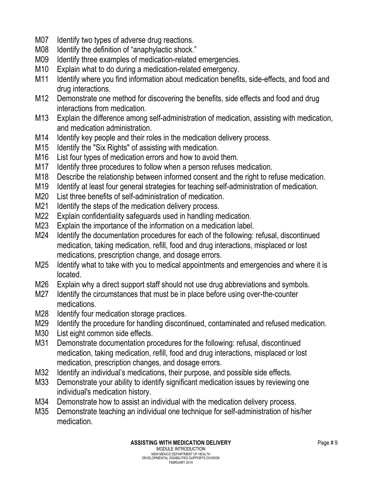- M07 Identify two types of adverse drug reactions.
- M08 Identify the definition of "anaphylactic shock."
- M09 Identify three examples of medication-related emergencies.
- M10 Explain what to do during a medication-related emergency.
- M11 Identify where you find information about medication benefits, side-effects, and food and drug interactions.
- M12 Demonstrate one method for discovering the benefits, side effects and food and drug interactions from medication.
- M13 Explain the difference among self-administration of medication, assisting with medication, and medication administration.
- M14 Identify key people and their roles in the medication delivery process.
- M15 Identify the "Six Rights" of assisting with medication.
- M16 List four types of medication errors and how to avoid them.
- M17 Identify three procedures to follow when a person refuses medication.
- M18 Describe the relationship between informed consent and the right to refuse medication.
- M19 Identify at least four general strategies for teaching self-administration of medication.
- M20 List three benefits of self-administration of medication.
- M21 Identify the steps of the medication delivery process.
- M22 Explain confidentiality safeguards used in handling medication.
- M23 Explain the importance of the information on a medication label.
- M24 Identify the documentation procedures for each of the following: refusal, discontinued medication, taking medication, refill, food and drug interactions, misplaced or lost medications, prescription change, and dosage errors.
- M25 Identify what to take with you to medical appointments and emergencies and where it is located.
- M26 Explain why a direct support staff should not use drug abbreviations and symbols.
- M27 Identify the circumstances that must be in place before using over-the-counter medications.
- M28 Identify four medication storage practices.
- M29 Identify the procedure for handling discontinued, contaminated and refused medication.
- M30 List eight common side effects.
- M31 Demonstrate documentation procedures for the following: refusal, discontinued medication, taking medication, refill, food and drug interactions, misplaced or lost medication, prescription changes, and dosage errors.
- M32 Identify an individual's medications, their purpose, and possible side effects.
- M33 Demonstrate your ability to identify significant medication issues by reviewing one individual's medication history.
- M34 Demonstrate how to assist an individual with the medication delivery process.
- M35 Demonstrate teaching an individual one technique for self-administration of his/her medication.